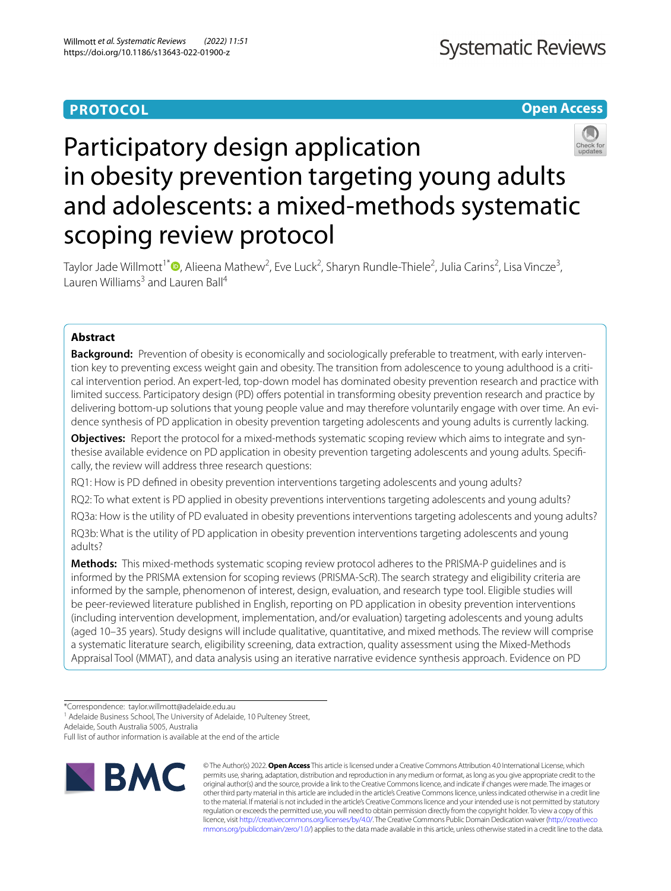# **PROTOCOL**

**Open Access**

# Participatory design application in obesity prevention targeting young adults and adolescents: a mixed-methods systematic scoping review protocol

Taylor Jade Willmott<sup>1\*</sup> <sup>(</sup>)[,](http://orcid.org/0000-0002-4649-6342) Alieena Mathew<sup>2</sup>, Eve Luck<sup>2</sup>, Sharyn Rundle-Thiele<sup>2</sup>, Julia Carins<sup>2</sup>, Lisa Vincze<sup>3</sup>, Lauren Williams<sup>3</sup> and Lauren Ball<sup>4</sup>

# **Abstract**

**Background:** Prevention of obesity is economically and sociologically preferable to treatment, with early intervention key to preventing excess weight gain and obesity. The transition from adolescence to young adulthood is a critical intervention period. An expert-led, top-down model has dominated obesity prevention research and practice with limited success. Participatory design (PD) offers potential in transforming obesity prevention research and practice by delivering bottom-up solutions that young people value and may therefore voluntarily engage with over time. An evidence synthesis of PD application in obesity prevention targeting adolescents and young adults is currently lacking.

**Objectives:** Report the protocol for a mixed-methods systematic scoping review which aims to integrate and synthesise available evidence on PD application in obesity prevention targeting adolescents and young adults. Specifically, the review will address three research questions:

RQ1: How is PD defned in obesity prevention interventions targeting adolescents and young adults?

RQ2: To what extent is PD applied in obesity preventions interventions targeting adolescents and young adults?

RQ3a: How is the utility of PD evaluated in obesity preventions interventions targeting adolescents and young adults?

RQ3b: What is the utility of PD application in obesity prevention interventions targeting adolescents and young adults?

**Methods:** This mixed-methods systematic scoping review protocol adheres to the PRISMA-P guidelines and is informed by the PRISMA extension for scoping reviews (PRISMA-ScR). The search strategy and eligibility criteria are informed by the sample, phenomenon of interest, design, evaluation, and research type tool. Eligible studies will be peer-reviewed literature published in English, reporting on PD application in obesity prevention interventions (including intervention development, implementation, and/or evaluation) targeting adolescents and young adults (aged 10–35 years). Study designs will include qualitative, quantitative, and mixed methods. The review will comprise a systematic literature search, eligibility screening, data extraction, quality assessment using the Mixed-Methods Appraisal Tool (MMAT), and data analysis using an iterative narrative evidence synthesis approach. Evidence on PD

<sup>1</sup> Adelaide Business School, The University of Adelaide, 10 Pulteney Street,

Adelaide, South Australia 5005, Australia

Full list of author information is available at the end of the article



© The Author(s) 2022. **Open Access** This article is licensed under a Creative Commons Attribution 4.0 International License, which permits use, sharing, adaptation, distribution and reproduction in any medium or format, as long as you give appropriate credit to the original author(s) and the source, provide a link to the Creative Commons licence, and indicate if changes were made. The images or other third party material in this article are included in the article's Creative Commons licence, unless indicated otherwise in a credit line to the material. If material is not included in the article's Creative Commons licence and your intended use is not permitted by statutory regulation or exceeds the permitted use, you will need to obtain permission directly from the copyright holder. To view a copy of this licence, visit [http://creativecommons.org/licenses/by/4.0/.](http://creativecommons.org/licenses/by/4.0/) The Creative Commons Public Domain Dedication waiver ([http://creativeco](http://creativecommons.org/publicdomain/zero/1.0/) [mmons.org/publicdomain/zero/1.0/](http://creativecommons.org/publicdomain/zero/1.0/)) applies to the data made available in this article, unless otherwise stated in a credit line to the data.

<sup>\*</sup>Correspondence: taylor.willmott@adelaide.edu.au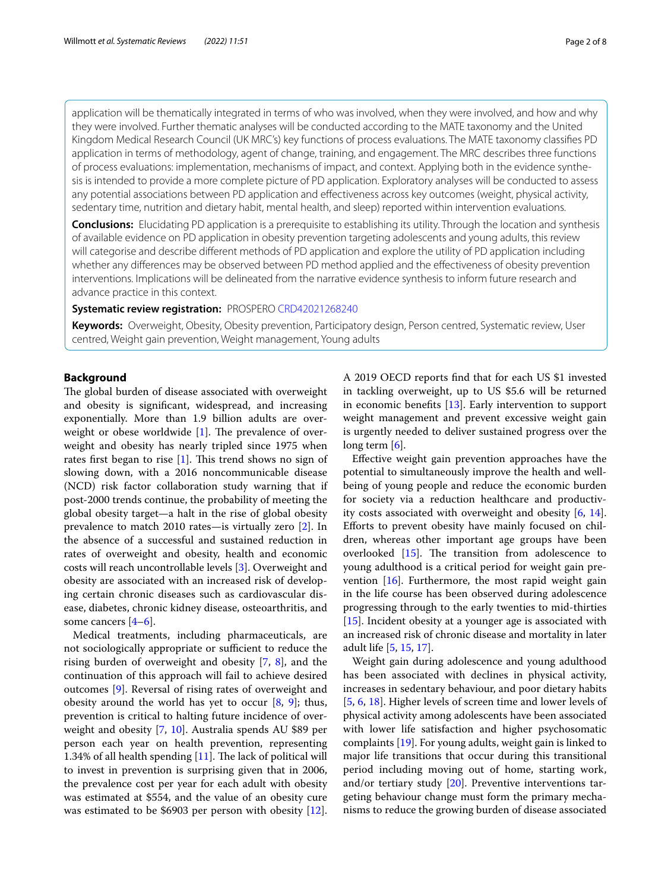application will be thematically integrated in terms of who was involved, when they were involved, and how and why they were involved. Further thematic analyses will be conducted according to the MATE taxonomy and the United Kingdom Medical Research Council (UK MRC's) key functions of process evaluations. The MATE taxonomy classifes PD application in terms of methodology, agent of change, training, and engagement. The MRC describes three functions of process evaluations: implementation, mechanisms of impact, and context. Applying both in the evidence synthe‑ sis is intended to provide a more complete picture of PD application. Exploratory analyses will be conducted to assess any potential associations between PD application and efectiveness across key outcomes (weight, physical activity, sedentary time, nutrition and dietary habit, mental health, and sleep) reported within intervention evaluations.

**Conclusions:** Elucidating PD application is a prerequisite to establishing its utility. Through the location and synthesis of available evidence on PD application in obesity prevention targeting adolescents and young adults, this review will categorise and describe diferent methods of PD application and explore the utility of PD application including whether any diferences may be observed between PD method applied and the efectiveness of obesity prevention interventions. Implications will be delineated from the narrative evidence synthesis to inform future research and advance practice in this context.

# **Systematic review registration:** PROSPERO [CRD42021268240](https://www.crd.york.ac.uk/prospero/display_record.php?ID=CRD42021268240)

**Keywords:** Overweight, Obesity, Obesity prevention, Participatory design, Person centred, Systematic review, User centred, Weight gain prevention, Weight management, Young adults

# **Background**

The global burden of disease associated with overweight and obesity is signifcant, widespread, and increasing exponentially. More than 1.9 billion adults are overweight or obese worldwide  $[1]$  $[1]$ . The prevalence of overweight and obesity has nearly tripled since 1975 when rates first began to rise  $[1]$ . This trend shows no sign of slowing down, with a 2016 noncommunicable disease (NCD) risk factor collaboration study warning that if post-2000 trends continue, the probability of meeting the global obesity target—a halt in the rise of global obesity prevalence to match 2010 rates—is virtually zero [\[2\]](#page-5-1). In the absence of a successful and sustained reduction in rates of overweight and obesity, health and economic costs will reach uncontrollable levels [[3\]](#page-5-2). Overweight and obesity are associated with an increased risk of developing certain chronic diseases such as cardiovascular disease, diabetes, chronic kidney disease, osteoarthritis, and some cancers [[4–](#page-5-3)[6\]](#page-5-4).

Medical treatments, including pharmaceuticals, are not sociologically appropriate or sufficient to reduce the rising burden of overweight and obesity [\[7](#page-5-5), [8](#page-5-6)], and the continuation of this approach will fail to achieve desired outcomes [[9\]](#page-5-7). Reversal of rising rates of overweight and obesity around the world has yet to occur  $[8, 9]$  $[8, 9]$  $[8, 9]$  $[8, 9]$ ; thus, prevention is critical to halting future incidence of overweight and obesity [\[7](#page-5-5), [10](#page-5-8)]. Australia spends AU \$89 per person each year on health prevention, representing 1.34% of all health spending  $[11]$  $[11]$ . The lack of political will to invest in prevention is surprising given that in 2006, the prevalence cost per year for each adult with obesity was estimated at \$554, and the value of an obesity cure was estimated to be \$6903 per person with obesity [\[12](#page-5-10)].

A 2019 OECD reports fnd that for each US \$1 invested in tackling overweight, up to US \$5.6 will be returned in economic benefts [\[13](#page-5-11)]. Early intervention to support weight management and prevent excessive weight gain is urgently needed to deliver sustained progress over the long term  $[6]$  $[6]$ .

Efective weight gain prevention approaches have the potential to simultaneously improve the health and wellbeing of young people and reduce the economic burden for society via a reduction healthcare and productivity costs associated with overweight and obesity [[6,](#page-5-4) [14](#page-5-12)]. Eforts to prevent obesity have mainly focused on children, whereas other important age groups have been overlooked  $[15]$  $[15]$ . The transition from adolescence to young adulthood is a critical period for weight gain prevention  $[16]$ . Furthermore, the most rapid weight gain in the life course has been observed during adolescence progressing through to the early twenties to mid-thirties [[15\]](#page-6-0). Incident obesity at a younger age is associated with an increased risk of chronic disease and mortality in later adult life [[5,](#page-5-13) [15](#page-6-0), [17\]](#page-6-2).

Weight gain during adolescence and young adulthood has been associated with declines in physical activity, increases in sedentary behaviour, and poor dietary habits [[5,](#page-5-13) [6,](#page-5-4) [18](#page-6-3)]. Higher levels of screen time and lower levels of physical activity among adolescents have been associated with lower life satisfaction and higher psychosomatic complaints [\[19](#page-6-4)]. For young adults, weight gain is linked to major life transitions that occur during this transitional period including moving out of home, starting work, and/or tertiary study  $[20]$  $[20]$  $[20]$ . Preventive interventions targeting behaviour change must form the primary mechanisms to reduce the growing burden of disease associated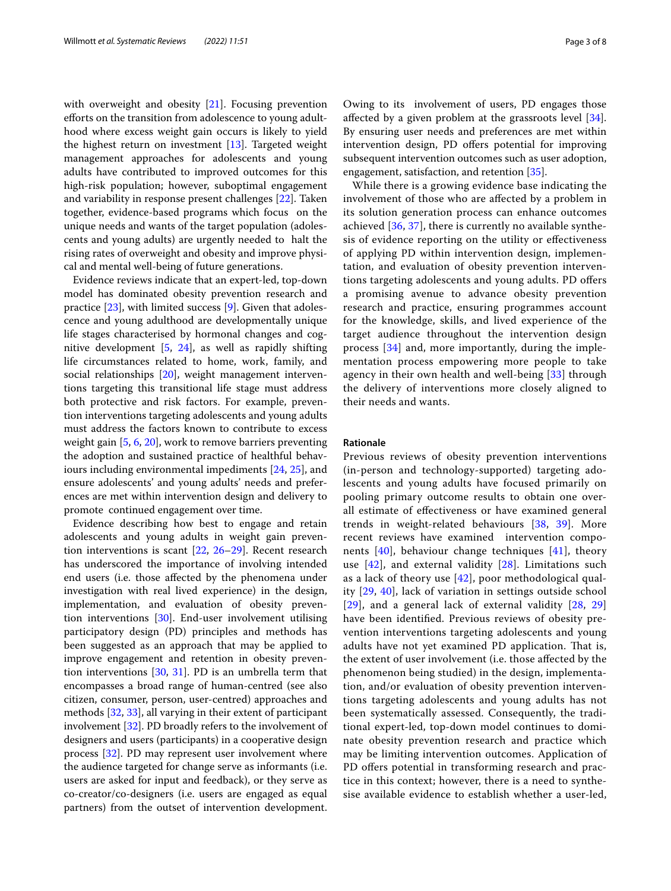with overweight and obesity [\[21](#page-6-6)]. Focusing prevention eforts on the transition from adolescence to young adulthood where excess weight gain occurs is likely to yield the highest return on investment [\[13\]](#page-5-11). Targeted weight management approaches for adolescents and young adults have contributed to improved outcomes for this high-risk population; however, suboptimal engagement and variability in response present challenges [[22\]](#page-6-7). Taken together, evidence-based programs which focus on the unique needs and wants of the target population (adolescents and young adults) are urgently needed to halt the rising rates of overweight and obesity and improve physical and mental well-being of future generations.

Evidence reviews indicate that an expert-led, top-down model has dominated obesity prevention research and practice [\[23](#page-6-8)], with limited success [[9\]](#page-5-7). Given that adolescence and young adulthood are developmentally unique life stages characterised by hormonal changes and cognitive development [[5,](#page-5-13) [24\]](#page-6-9), as well as rapidly shifting life circumstances related to home, work, family, and social relationships [\[20](#page-6-5)], weight management interventions targeting this transitional life stage must address both protective and risk factors. For example, prevention interventions targeting adolescents and young adults must address the factors known to contribute to excess weight gain [\[5](#page-5-13), [6,](#page-5-4) [20\]](#page-6-5), work to remove barriers preventing the adoption and sustained practice of healthful behaviours including environmental impediments [[24,](#page-6-9) [25](#page-6-10)], and ensure adolescents' and young adults' needs and preferences are met within intervention design and delivery to promote continued engagement over time.

Evidence describing how best to engage and retain adolescents and young adults in weight gain prevention interventions is scant [[22](#page-6-7), [26](#page-6-11)[–29](#page-6-12)]. Recent research has underscored the importance of involving intended end users (i.e. those afected by the phenomena under investigation with real lived experience) in the design, implementation, and evaluation of obesity prevention interventions [\[30\]](#page-6-13). End-user involvement utilising participatory design (PD) principles and methods has been suggested as an approach that may be applied to improve engagement and retention in obesity prevention interventions  $[30, 31]$  $[30, 31]$  $[30, 31]$  $[30, 31]$ . PD is an umbrella term that encompasses a broad range of human-centred (see also citizen, consumer, person, user-centred) approaches and methods [\[32,](#page-6-15) [33](#page-6-16)], all varying in their extent of participant involvement [[32\]](#page-6-15). PD broadly refers to the involvement of designers and users (participants) in a cooperative design process [[32\]](#page-6-15). PD may represent user involvement where the audience targeted for change serve as informants (i.e. users are asked for input and feedback), or they serve as co-creator/co-designers (i.e. users are engaged as equal partners) from the outset of intervention development.

Owing to its involvement of users, PD engages those afected by a given problem at the grassroots level [\[34](#page-6-17)]. By ensuring user needs and preferences are met within intervention design, PD offers potential for improving subsequent intervention outcomes such as user adoption, engagement, satisfaction, and retention [[35](#page-6-18)].

While there is a growing evidence base indicating the involvement of those who are afected by a problem in its solution generation process can enhance outcomes achieved [[36,](#page-6-19) [37\]](#page-6-20), there is currently no available synthesis of evidence reporting on the utility or efectiveness of applying PD within intervention design, implementation, and evaluation of obesity prevention interventions targeting adolescents and young adults. PD ofers a promising avenue to advance obesity prevention research and practice, ensuring programmes account for the knowledge, skills, and lived experience of the target audience throughout the intervention design process [\[34](#page-6-17)] and, more importantly, during the implementation process empowering more people to take agency in their own health and well-being [[33\]](#page-6-16) through the delivery of interventions more closely aligned to their needs and wants.

## **Rationale**

Previous reviews of obesity prevention interventions (in-person and technology-supported) targeting adolescents and young adults have focused primarily on pooling primary outcome results to obtain one overall estimate of efectiveness or have examined general trends in weight-related behaviours [[38](#page-6-21), [39\]](#page-6-22). More recent reviews have examined intervention components  $[40]$  $[40]$ , behaviour change techniques  $[41]$  $[41]$ , theory use [[42\]](#page-6-25), and external validity [[28\]](#page-6-26). Limitations such as a lack of theory use [\[42](#page-6-25)], poor methodological quality [[29](#page-6-12), [40\]](#page-6-23), lack of variation in settings outside school [[29](#page-6-12)], and a general lack of external validity [[28,](#page-6-26) [29](#page-6-12)] have been identifed. Previous reviews of obesity prevention interventions targeting adolescents and young adults have not yet examined PD application. That is, the extent of user involvement (i.e. those afected by the phenomenon being studied) in the design, implementation, and/or evaluation of obesity prevention interventions targeting adolescents and young adults has not been systematically assessed. Consequently, the traditional expert-led, top-down model continues to dominate obesity prevention research and practice which may be limiting intervention outcomes. Application of PD offers potential in transforming research and practice in this context; however, there is a need to synthesise available evidence to establish whether a user-led,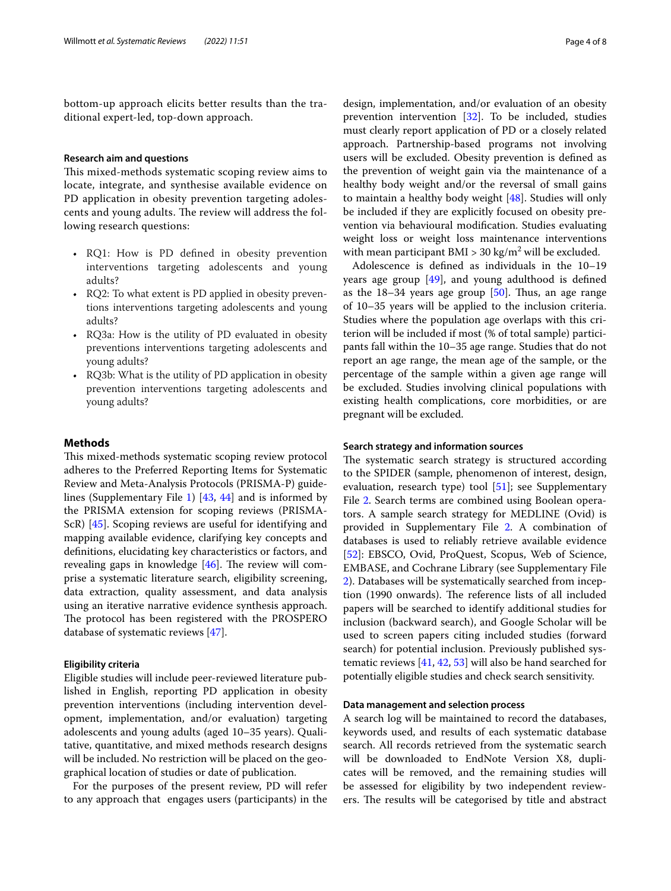bottom-up approach elicits better results than the traditional expert-led, top-down approach.

# **Research aim and questions**

This mixed-methods systematic scoping review aims to locate, integrate, and synthesise available evidence on PD application in obesity prevention targeting adolescents and young adults. The review will address the following research questions:

- RQ1: How is PD defned in obesity prevention interventions targeting adolescents and young adults?
- RQ2: To what extent is PD applied in obesity preventions interventions targeting adolescents and young adults?
- RQ3a: How is the utility of PD evaluated in obesity preventions interventions targeting adolescents and young adults?
- RQ3b: What is the utility of PD application in obesity prevention interventions targeting adolescents and young adults?

# **Methods**

This mixed-methods systematic scoping review protocol adheres to the Preferred Reporting Items for Systematic Review and Meta-Analysis Protocols (PRISMA-P) guidelines (Supplementary File [1](#page-5-14)) [[43,](#page-6-27) [44](#page-6-28)] and is informed by the PRISMA extension for scoping reviews (PRISMA-ScR) [[45\]](#page-6-29). Scoping reviews are useful for identifying and mapping available evidence, clarifying key concepts and defnitions, elucidating key characteristics or factors, and revealing gaps in knowledge  $[46]$ . The review will comprise a systematic literature search, eligibility screening, data extraction, quality assessment, and data analysis using an iterative narrative evidence synthesis approach. The protocol has been registered with the PROSPERO database of systematic reviews [[47](#page-6-31)].

# **Eligibility criteria**

Eligible studies will include peer-reviewed literature published in English, reporting PD application in obesity prevention interventions (including intervention development, implementation, and/or evaluation) targeting adolescents and young adults (aged 10–35 years). Qualitative, quantitative, and mixed methods research designs will be included. No restriction will be placed on the geographical location of studies or date of publication.

For the purposes of the present review, PD will refer to any approach that engages users (participants) in the

design, implementation, and/or evaluation of an obesity prevention intervention [\[32](#page-6-15)]. To be included, studies must clearly report application of PD or a closely related approach. Partnership-based programs not involving users will be excluded. Obesity prevention is defned as the prevention of weight gain via the maintenance of a healthy body weight and/or the reversal of small gains to maintain a healthy body weight [\[48](#page-6-32)]. Studies will only be included if they are explicitly focused on obesity prevention via behavioural modifcation. Studies evaluating weight loss or weight loss maintenance interventions with mean participant  $BMI > 30 \text{ kg/m}^2$  will be excluded.

Adolescence is defned as individuals in the 10–19 years age group [[49\]](#page-6-33), and young adulthood is defned as the  $18-34$  years age group  $[50]$  $[50]$ . Thus, an age range of 10–35 years will be applied to the inclusion criteria. Studies where the population age overlaps with this criterion will be included if most (% of total sample) participants fall within the 10–35 age range. Studies that do not report an age range, the mean age of the sample, or the percentage of the sample within a given age range will be excluded. Studies involving clinical populations with existing health complications, core morbidities, or are pregnant will be excluded.

# **Search strategy and information sources**

The systematic search strategy is structured according to the SPIDER (sample, phenomenon of interest, design, evaluation, research type) tool  $[51]$  $[51]$ ; see Supplementary File [2](#page-5-15). Search terms are combined using Boolean operators. A sample search strategy for MEDLINE (Ovid) is provided in Supplementary File [2](#page-5-15). A combination of databases is used to reliably retrieve available evidence [[52\]](#page-6-36): EBSCO, Ovid, ProQuest, Scopus, Web of Science, EMBASE, and Cochrane Library (see Supplementary File [2\)](#page-5-15). Databases will be systematically searched from inception (1990 onwards). The reference lists of all included papers will be searched to identify additional studies for inclusion (backward search), and Google Scholar will be used to screen papers citing included studies (forward search) for potential inclusion. Previously published systematic reviews [\[41,](#page-6-24) [42](#page-6-25), [53\]](#page-6-37) will also be hand searched for potentially eligible studies and check search sensitivity.

# **Data management and selection process**

A search log will be maintained to record the databases, keywords used, and results of each systematic database search. All records retrieved from the systematic search will be downloaded to EndNote Version X8, duplicates will be removed, and the remaining studies will be assessed for eligibility by two independent reviewers. The results will be categorised by title and abstract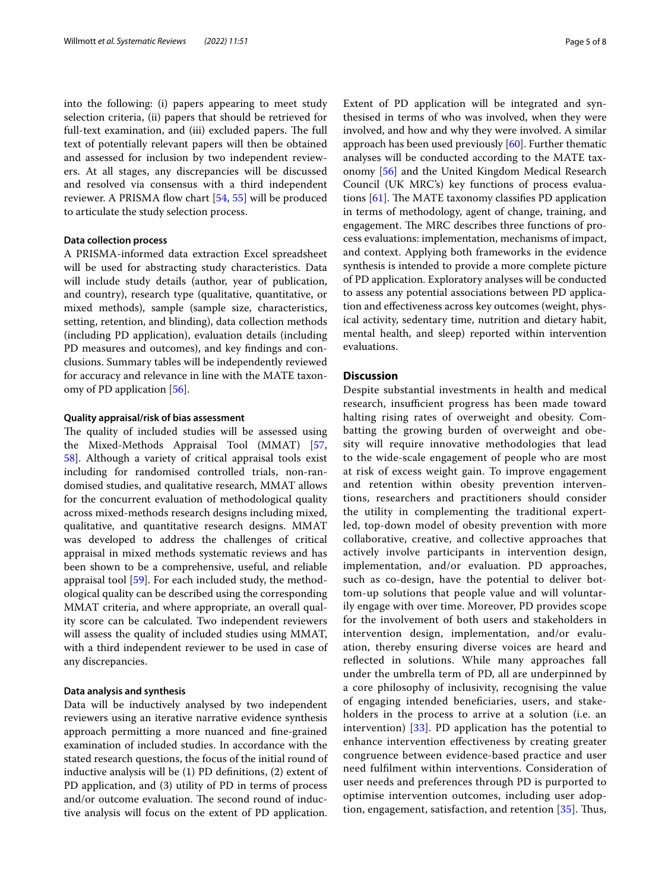into the following: (i) papers appearing to meet study selection criteria, (ii) papers that should be retrieved for full-text examination, and (iii) excluded papers. The full text of potentially relevant papers will then be obtained and assessed for inclusion by two independent reviewers. At all stages, any discrepancies will be discussed and resolved via consensus with a third independent reviewer. A PRISMA flow chart [[54,](#page-6-38) [55](#page-6-39)] will be produced to articulate the study selection process.

# **Data collection process**

A PRISMA-informed data extraction Excel spreadsheet will be used for abstracting study characteristics. Data will include study details (author, year of publication, and country), research type (qualitative, quantitative, or mixed methods), sample (sample size, characteristics, setting, retention, and blinding), data collection methods (including PD application), evaluation details (including PD measures and outcomes), and key fndings and conclusions. Summary tables will be independently reviewed for accuracy and relevance in line with the MATE taxonomy of PD application [\[56](#page-6-40)].

## **Quality appraisal/risk of bias assessment**

The quality of included studies will be assessed using the Mixed-Methods Appraisal Tool (MMAT) [\[57](#page-6-41), [58\]](#page-6-42). Although a variety of critical appraisal tools exist including for randomised controlled trials, non-randomised studies, and qualitative research, MMAT allows for the concurrent evaluation of methodological quality across mixed-methods research designs including mixed, qualitative, and quantitative research designs. MMAT was developed to address the challenges of critical appraisal in mixed methods systematic reviews and has been shown to be a comprehensive, useful, and reliable appraisal tool [\[59](#page-7-0)]. For each included study, the methodological quality can be described using the corresponding MMAT criteria, and where appropriate, an overall quality score can be calculated. Two independent reviewers will assess the quality of included studies using MMAT, with a third independent reviewer to be used in case of any discrepancies.

# **Data analysis and synthesis**

Data will be inductively analysed by two independent reviewers using an iterative narrative evidence synthesis approach permitting a more nuanced and fne-grained examination of included studies. In accordance with the stated research questions, the focus of the initial round of inductive analysis will be (1) PD defnitions, (2) extent of PD application, and (3) utility of PD in terms of process and/or outcome evaluation. The second round of inductive analysis will focus on the extent of PD application. Extent of PD application will be integrated and synthesised in terms of who was involved, when they were involved, and how and why they were involved. A similar approach has been used previously [\[60\]](#page-7-1). Further thematic analyses will be conducted according to the MATE taxonomy [[56\]](#page-6-40) and the United Kingdom Medical Research Council (UK MRC's) key functions of process evaluations  $[61]$  $[61]$ . The MATE taxonomy classifies PD application in terms of methodology, agent of change, training, and engagement. The MRC describes three functions of process evaluations: implementation, mechanisms of impact, and context. Applying both frameworks in the evidence synthesis is intended to provide a more complete picture of PD application. Exploratory analyses will be conducted to assess any potential associations between PD application and efectiveness across key outcomes (weight, physical activity, sedentary time, nutrition and dietary habit, mental health, and sleep) reported within intervention evaluations.

# **Discussion**

Despite substantial investments in health and medical research, insufficient progress has been made toward halting rising rates of overweight and obesity. Combatting the growing burden of overweight and obesity will require innovative methodologies that lead to the wide-scale engagement of people who are most at risk of excess weight gain. To improve engagement and retention within obesity prevention interventions, researchers and practitioners should consider the utility in complementing the traditional expertled, top-down model of obesity prevention with more collaborative, creative, and collective approaches that actively involve participants in intervention design, implementation, and/or evaluation. PD approaches, such as co-design, have the potential to deliver bottom-up solutions that people value and will voluntarily engage with over time. Moreover, PD provides scope for the involvement of both users and stakeholders in intervention design, implementation, and/or evaluation, thereby ensuring diverse voices are heard and refected in solutions. While many approaches fall under the umbrella term of PD, all are underpinned by a core philosophy of inclusivity, recognising the value of engaging intended benefciaries, users, and stakeholders in the process to arrive at a solution (i.e. an intervention) [\[33](#page-6-16)]. PD application has the potential to enhance intervention efectiveness by creating greater congruence between evidence-based practice and user need fulflment within interventions. Consideration of user needs and preferences through PD is purported to optimise intervention outcomes, including user adop-tion, engagement, satisfaction, and retention [[35\]](#page-6-18). Thus,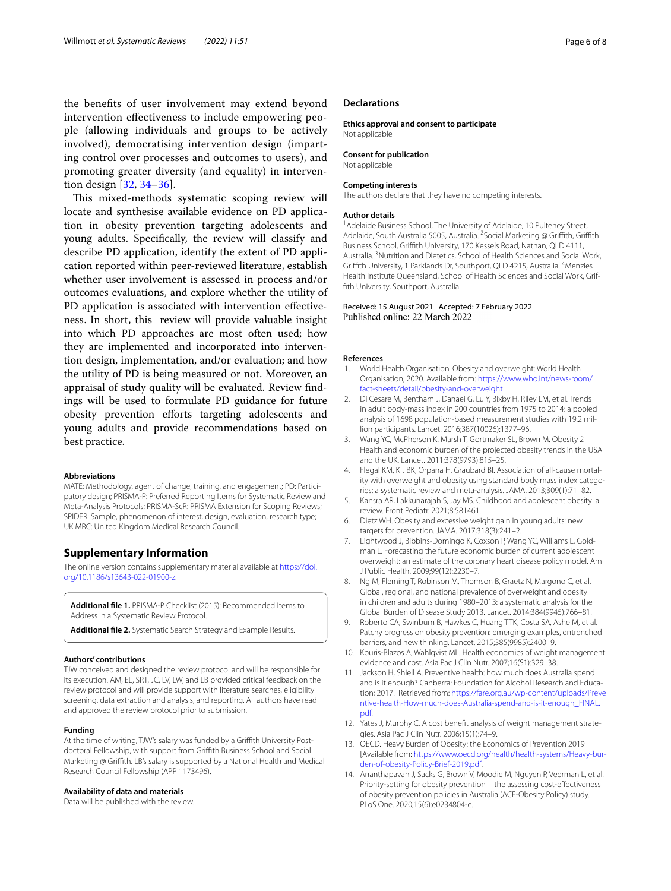the benefts of user involvement may extend beyond intervention efectiveness to include empowering people (allowing individuals and groups to be actively involved), democratising intervention design (imparting control over processes and outcomes to users), and promoting greater diversity (and equality) in intervention design [\[32](#page-6-15), [34](#page-6-17)[–36](#page-6-19)].

This mixed-methods systematic scoping review will locate and synthesise available evidence on PD application in obesity prevention targeting adolescents and young adults. Specifcally, the review will classify and describe PD application, identify the extent of PD application reported within peer-reviewed literature, establish whether user involvement is assessed in process and/or outcomes evaluations, and explore whether the utility of PD application is associated with intervention effectiveness. In short, this review will provide valuable insight into which PD approaches are most often used; how they are implemented and incorporated into intervention design, implementation, and/or evaluation; and how the utility of PD is being measured or not. Moreover, an appraisal of study quality will be evaluated. Review fndings will be used to formulate PD guidance for future obesity prevention efforts targeting adolescents and young adults and provide recommendations based on best practice.

#### **Abbreviations**

MATE: Methodology, agent of change, training, and engagement; PD: Participatory design; PRISMA-P: Preferred Reporting Items for Systematic Review and Meta-Analysis Protocols; PRISMA-ScR: PRISMA Extension for Scoping Reviews; SPIDER: Sample, phenomenon of interest, design, evaluation, research type; UK MRC: United Kingdom Medical Research Council.

# **Supplementary Information**

The online version contains supplementary material available at [https://doi.](https://doi.org/10.1186/s13643-022-01900-z) [org/10.1186/s13643-022-01900-z.](https://doi.org/10.1186/s13643-022-01900-z)

<span id="page-5-15"></span><span id="page-5-14"></span>**Additional fle 1.** PRISMA-P Checklist (2015): Recommended Items to Address in a Systematic Review Protocol.

**Additional fle 2.** Systematic Search Strategy and Example Results.

#### **Authors' contributions**

TJW conceived and designed the review protocol and will be responsible for its execution. AM, EL, SRT, JC, LV, LW, and LB provided critical feedback on the review protocol and will provide support with literature searches, eligibility screening, data extraction and analysis, and reporting. All authors have read and approved the review protocol prior to submission.

#### **Funding**

At the time of writing, TJW's salary was funded by a Griffith University Postdoctoral Fellowship, with support from Grifth Business School and Social Marketing @ Grifth. LB's salary is supported by a National Health and Medical Research Council Fellowship (APP 1173496).

#### **Availability of data and materials**

Data will be published with the review.

# **Declarations**

**Ethics approval and consent to participate** Not applicable

**Consent for publication**

Not applicable

# **Competing interests**

The authors declare that they have no competing interests.

# **Author details**

<sup>1</sup> Adelaide Business School, The University of Adelaide, 10 Pulteney Street, Adelaide, South Australia 5005, Australia. <sup>2</sup> Social Marketing @ Griffith, Griffith Business School, Grifth University, 170 Kessels Road, Nathan, QLD 4111, Australia. <sup>3</sup> Nutrition and Dietetics, School of Health Sciences and Social Work, Griffith University, 1 Parklands Dr, Southport, QLD 4215, Australia. <sup>4</sup>Menzies Health Institute Queensland, School of Health Sciences and Social Work, Grif‑ fth University, Southport, Australia.

# Received: 15 August 2021 Accepted: 7 February 2022 Published online: 22 March 2022

## **References**

- <span id="page-5-0"></span>1. World Health Organisation. Obesity and overweight: World Health Organisation; 2020. Available from: [https://www.who.int/news-room/](https://www.who.int/news-room/fact-sheets/detail/obesity-and-overweight) [fact-sheets/detail/obesity-and-overweight](https://www.who.int/news-room/fact-sheets/detail/obesity-and-overweight)
- <span id="page-5-1"></span>2. Di Cesare M, Bentham J, Danaei G, Lu Y, Bixby H, Riley LM, et al. Trends in adult body-mass index in 200 countries from 1975 to 2014: a pooled analysis of 1698 population-based measurement studies with 19.2 million participants. Lancet. 2016;387(10026):1377–96.
- <span id="page-5-2"></span>3. Wang YC, McPherson K, Marsh T, Gortmaker SL, Brown M. Obesity 2 Health and economic burden of the projected obesity trends in the USA and the UK. Lancet. 2011;378(9793):815–25.
- <span id="page-5-3"></span>4. Flegal KM, Kit BK, Orpana H, Graubard BI, Association of all-cause mortality with overweight and obesity using standard body mass index categories: a systematic review and meta-analysis. JAMA. 2013;309(1):71–82.
- <span id="page-5-13"></span>5. Kansra AR, Lakkunarajah S, Jay MS. Childhood and adolescent obesity: a review. Front Pediatr. 2021;8:581461.
- <span id="page-5-4"></span>6. Dietz WH. Obesity and excessive weight gain in young adults: new targets for prevention. JAMA. 2017;318(3):241–2.
- <span id="page-5-5"></span>7. Lightwood J, Bibbins-Domingo K, Coxson P, Wang YC, Williams L, Goldman L. Forecasting the future economic burden of current adolescent overweight: an estimate of the coronary heart disease policy model. Am J Public Health. 2009;99(12):2230–7.
- <span id="page-5-6"></span>8. Ng M, Fleming T, Robinson M, Thomson B, Graetz N, Margono C, et al. Global, regional, and national prevalence of overweight and obesity in children and adults during 1980–2013: a systematic analysis for the Global Burden of Disease Study 2013. Lancet. 2014;384(9945):766–81.
- <span id="page-5-7"></span>9. Roberto CA, Swinburn B, Hawkes C, Huang TTK, Costa SA, Ashe M, et al. Patchy progress on obesity prevention: emerging examples, entrenched barriers, and new thinking. Lancet. 2015;385(9985):2400–9.
- <span id="page-5-8"></span>10. Kouris-Blazos A, Wahlqvist ML. Health economics of weight management: evidence and cost. Asia Pac J Clin Nutr. 2007;16(S1):329–38.
- <span id="page-5-9"></span>11. Jackson H, Shiell A. Preventive health: how much does Australia spend and is it enough? Canberra: Foundation for Alcohol Research and Education; 2017. Retrieved from: [https://fare.org.au/wp-content/uploads/Preve](https://fare.org.au/wp-content/uploads/Preventive-health-How-much-does-Australia-spend-and-is-it-enough_FINAL.pdf) [ntive-health-How-much-does-Australia-spend-and-is-it-enough\\_FINAL.](https://fare.org.au/wp-content/uploads/Preventive-health-How-much-does-Australia-spend-and-is-it-enough_FINAL.pdf) [pdf.](https://fare.org.au/wp-content/uploads/Preventive-health-How-much-does-Australia-spend-and-is-it-enough_FINAL.pdf)
- <span id="page-5-10"></span>12. Yates J, Murphy C. A cost benefit analysis of weight management strategies. Asia Pac J Clin Nutr. 2006;15(1):74–9.
- <span id="page-5-11"></span>13. OECD. Heavy Burden of Obesity: the Economics of Prevention 2019 [Available from: https://www.oecd.org/health/health-systems/Heavy-bur[den-of-obesity-Policy-Brief-2019.pdf](https://www.oecd.org/health/health-systems/Heavy-burden-of-obesity-Policy-Brief-2019.pdf).
- <span id="page-5-12"></span>14. Ananthapavan J, Sacks G, Brown V, Moodie M, Nguyen P, Veerman L, et al. Priority-setting for obesity prevention—the assessing cost-efectiveness of obesity prevention policies in Australia (ACE-Obesity Policy) study. PLoS One. 2020;15(6):e0234804-e.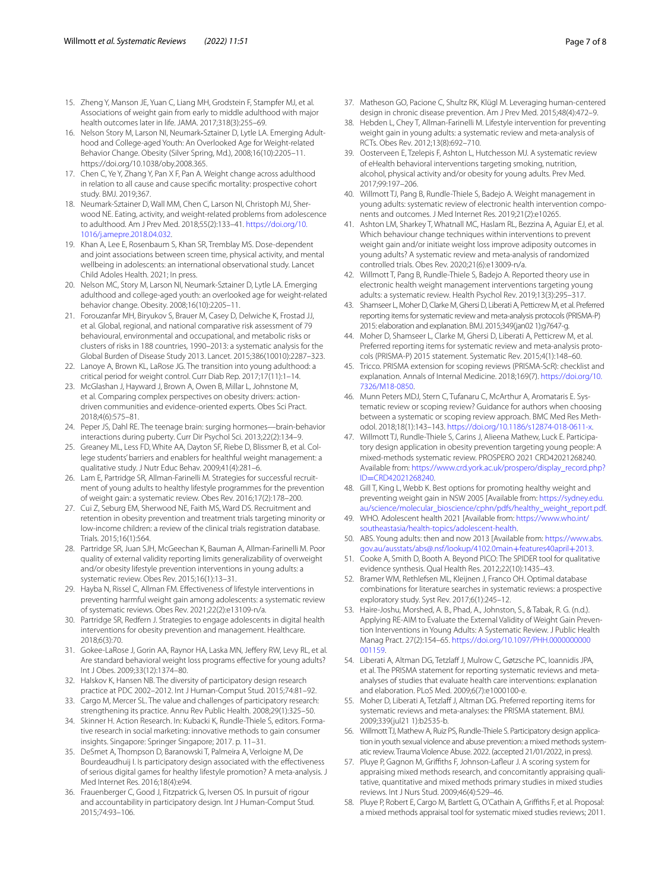- <span id="page-6-0"></span>15. Zheng Y, Manson JE, Yuan C, Liang MH, Grodstein F, Stampfer MJ, et al. Associations of weight gain from early to middle adulthood with major health outcomes later in life. JAMA. 2017;318(3):255–69.
- <span id="page-6-1"></span>16. Nelson Story M, Larson NI, Neumark-Sztainer D, Lytle LA. Emerging Adulthood and College-aged Youth: An Overlooked Age for Weight-related Behavior Change. Obesity (Silver Spring, Md.), 2008;16(10):2205–11. https://doi.org/10.1038/oby.2008.365.
- <span id="page-6-2"></span>17. Chen C, Ye Y, Zhang Y, Pan X F, Pan A. Weight change across adulthood in relation to all cause and cause specifc mortality: prospective cohort study. BMJ. 2019;367.
- <span id="page-6-3"></span>18. Neumark-Sztainer D, Wall MM, Chen C, Larson NI, Christoph MJ, Sherwood NE. Eating, activity, and weight-related problems from adolescence to adulthood. Am J Prev Med. 2018;55(2):133–41. [https://doi.org/10.](https://doi.org/10.1016/j.amepre.2018.04.032) [1016/j.amepre.2018.04.032.](https://doi.org/10.1016/j.amepre.2018.04.032)
- <span id="page-6-4"></span>19. Khan A, Lee E, Rosenbaum S, Khan SR, Tremblay MS. Dose-dependent and joint associations between screen time, physical activity, and mental wellbeing in adolescents: an international observational study. Lancet Child Adoles Health. 2021; In press.
- <span id="page-6-5"></span>20. Nelson MC, Story M, Larson NI, Neumark-Sztainer D, Lytle LA. Emerging adulthood and college-aged youth: an overlooked age for weight-related behavior change. Obesity. 2008;16(10):2205–11.
- <span id="page-6-6"></span>21. Forouzanfar MH, Biryukov S, Brauer M, Casey D, Delwiche K, Frostad JJ, et al. Global, regional, and national comparative risk assessment of 79 behavioural, environmental and occupational, and metabolic risks or clusters of risks in 188 countries, 1990–2013: a systematic analysis for the Global Burden of Disease Study 2013. Lancet. 2015;386(10010):2287–323.
- <span id="page-6-7"></span>22. Lanoye A, Brown KL, LaRose JG. The transition into young adulthood: a critical period for weight control. Curr Diab Rep. 2017;17(11):1–14.
- <span id="page-6-8"></span>23. McGlashan J, Hayward J, Brown A, Owen B, Millar L, Johnstone M, et al. Comparing complex perspectives on obesity drivers: actiondriven communities and evidence-oriented experts. Obes Sci Pract. 2018;4(6):575–81.
- <span id="page-6-9"></span>24. Peper JS, Dahl RE. The teenage brain: surging hormones—brain-behavior interactions during puberty. Curr Dir Psychol Sci. 2013;22(2):134–9.
- <span id="page-6-10"></span>25. Greaney ML, Less FD, White AA, Dayton SF, Riebe D, Blissmer B, et al. College students' barriers and enablers for healthful weight management: a qualitative study. J Nutr Educ Behav. 2009;41(4):281–6.
- <span id="page-6-11"></span>26. Lam E, Partridge SR, Allman-Farinelli M. Strategies for successful recruitment of young adults to healthy lifestyle programmes for the prevention of weight gain: a systematic review. Obes Rev. 2016;17(2):178–200.
- 27. Cui Z, Seburg EM, Sherwood NE, Faith MS, Ward DS. Recruitment and retention in obesity prevention and treatment trials targeting minority or low-income children: a review of the clinical trials registration database. Trials. 2015;16(1):564.
- <span id="page-6-26"></span>28. Partridge SR, Juan SJH, McGeechan K, Bauman A, Allman-Farinelli M. Poor quality of external validity reporting limits generalizability of overweight and/or obesity lifestyle prevention interventions in young adults: a systematic review. Obes Rev. 2015;16(1):13–31.
- <span id="page-6-12"></span>29. Hayba N, Rissel C, Allman FM. Efectiveness of lifestyle interventions in preventing harmful weight gain among adolescents: a systematic review of systematic reviews. Obes Rev. 2021;22(2):e13109-n/a.
- <span id="page-6-13"></span>30. Partridge SR, Redfern J. Strategies to engage adolescents in digital health interventions for obesity prevention and management. Healthcare. 2018;6(3):70.
- <span id="page-6-14"></span>31. Gokee-LaRose J, Gorin AA, Raynor HA, Laska MN, Jeffery RW, Levy RL, et al. Are standard behavioral weight loss programs effective for young adults? Int J Obes. 2009;33(12):1374–80.
- <span id="page-6-15"></span>32. Halskov K, Hansen NB. The diversity of participatory design research practice at PDC 2002–2012. Int J Human-Comput Stud. 2015;74:81–92.
- <span id="page-6-16"></span>33. Cargo M, Mercer SL. The value and challenges of participatory research: strengthening its practice. Annu Rev Public Health. 2008;29(1):325–50.
- <span id="page-6-17"></span>34. Skinner H. Action Research. In: Kubacki K, Rundle-Thiele S, editors. Formative research in social marketing: innovative methods to gain consumer insights. Singapore: Springer Singapore; 2017. p. 11–31.
- <span id="page-6-18"></span>35. DeSmet A, Thompson D, Baranowski T, Palmeira A, Verloigne M, De Bourdeaudhuij I. Is participatory design associated with the efectiveness of serious digital games for healthy lifestyle promotion? A meta-analysis. J Med Internet Res. 2016;18(4):e94.
- <span id="page-6-19"></span>36. Frauenberger C, Good J, Fitzpatrick G, Iversen OS. In pursuit of rigour and accountability in participatory design. Int J Human-Comput Stud. 2015;74:93–106.
- <span id="page-6-20"></span>37. Matheson GO, Pacione C, Shultz RK, Klügl M. Leveraging human-centered design in chronic disease prevention. Am J Prev Med. 2015;48(4):472–9.
- <span id="page-6-21"></span>38. Hebden L, Chey T, Allman-Farinelli M. Lifestyle intervention for preventing weight gain in young adults: a systematic review and meta-analysis of RCTs. Obes Rev. 2012;13(8):692–710.
- <span id="page-6-22"></span>39. Oosterveen E, Tzelepis F, Ashton L, Hutchesson MJ. A systematic review of eHealth behavioral interventions targeting smoking, nutrition, alcohol, physical activity and/or obesity for young adults. Prev Med. 2017;99:197–206.
- <span id="page-6-23"></span>40. Willmott TJ, Pang B, Rundle-Thiele S, Badejo A. Weight management in young adults: systematic review of electronic health intervention components and outcomes. J Med Internet Res. 2019;21(2):e10265.
- <span id="page-6-24"></span>41. Ashton LM, Sharkey T, Whatnall MC, Haslam RL, Bezzina A, Aguiar EJ, et al. Which behaviour change techniques within interventions to prevent weight gain and/or initiate weight loss improve adiposity outcomes in young adults? A systematic review and meta-analysis of randomized controlled trials. Obes Rev. 2020;21(6):e13009-n/a.
- <span id="page-6-25"></span>42. Willmott T, Pang B, Rundle-Thiele S, Badejo A. Reported theory use in electronic health weight management interventions targeting young adults: a systematic review. Health Psychol Rev. 2019;13(3):295–317.
- <span id="page-6-27"></span>43. Shamseer L, Moher D, Clarke M, Ghersi D, Liberati A, Petticrew M, et al. Preferred reporting items for systematic review and meta-analysis protocols (PRISMA-P) 2015: elaboration and explanation. BMJ. 2015;349(jan02 1):g7647-g.
- <span id="page-6-28"></span>44. Moher D, Shamseer L, Clarke M, Ghersi D, Liberati A, Petticrew M, et al. Preferred reporting items for systematic review and meta-analysis protocols (PRISMA-P) 2015 statement. Systematic Rev. 2015;4(1):148–60.
- <span id="page-6-29"></span>45. Tricco. PRISMA extension for scoping reviews (PRISMA-ScR): checklist and explanation. Annals of Internal Medicine. 2018;169(7). [https://doi.org/10.](https://doi.org/10.7326/M18-0850) [7326/M18-0850](https://doi.org/10.7326/M18-0850).
- <span id="page-6-30"></span>46. Munn Peters MDJ, Stern C, Tufanaru C, McArthur A, Aromataris E. Systematic review or scoping review? Guidance for authors when choosing between a systematic or scoping review approach. BMC Med Res Methodol. 2018;18(1):143–143. [https://doi.org/10.1186/s12874-018-0611-x.](https://doi.org/10.1186/s12874-018-0611-x)
- <span id="page-6-31"></span>47. Willmott TJ, Rundle-Thiele S, Carins J, Alieena Mathew, Luck E, Participatory design application in obesity prevention targeting young people: A mixed-methods systematic review. PROSPERO 2021 CRD42021268240. Available from: [https://www.crd.york.ac.uk/prospero/display\\_record.php?](https://www.crd.york.ac.uk/prospero/display_record.php?ID=CRD42021268240) ID=[CRD42021268240](https://www.crd.york.ac.uk/prospero/display_record.php?ID=CRD42021268240).
- <span id="page-6-32"></span>48. Gill T, King L, Webb K. Best options for promoting healthy weight and preventing weight gain in NSW 2005 [Available from: [https://sydney.edu.](https://sydney.edu.au/science/molecular_bioscience/cphn/pdfs/healthy_weight_report.pdf) [au/science/molecular\\_bioscience/cphn/pdfs/healthy\\_weight\\_report.pdf](https://sydney.edu.au/science/molecular_bioscience/cphn/pdfs/healthy_weight_report.pdf).
- <span id="page-6-33"></span>49. WHO. Adolescent health 2021 [Available from: [https://www.who.int/](https://www.who.int/southeastasia/health-topics/adolescent-health) [southeastasia/health-topics/adolescent-health.](https://www.who.int/southeastasia/health-topics/adolescent-health)
- <span id="page-6-34"></span>50. ABS. Young adults: then and now 2013 [Available from: [https://www.abs.](https://www.abs.gov.au/ausstats/abs@.nsf/lookup/4102.0main+features40april+2013) [gov.au/ausstats/abs@.nsf/lookup/4102.0main](https://www.abs.gov.au/ausstats/abs@.nsf/lookup/4102.0main+features40april+2013)+features40april+2013.
- <span id="page-6-35"></span>51. Cooke A, Smith D, Booth A. Beyond PICO: The SPIDER tool for qualitative evidence synthesis. Qual Health Res. 2012;22(10):1435–43.
- <span id="page-6-36"></span>52. Bramer WM, Rethlefsen ML, Kleijnen J, Franco OH. Optimal database combinations for literature searches in systematic reviews: a prospective exploratory study. Syst Rev. 2017;6(1):245–12.
- <span id="page-6-37"></span>53. Haire-Joshu, Morshed, A. B., Phad, A., Johnston, S., & Tabak, R. G. (n.d.). Applying RE-AIM to Evaluate the External Validity of Weight Gain Prevention Interventions in Young Adults: A Systematic Review. J Public Health Manag Pract. 27(2):154–65. [https://doi.org/10.1097/PHH.0000000000](https://doi.org/10.1097/PHH.0000000000001159) [001159.](https://doi.org/10.1097/PHH.0000000000001159)
- <span id="page-6-38"></span>54. Liberati A, Altman DG, Tetzlaf J, Mulrow C, Gøtzsche PC, Ioannidis JPA, et al. The PRISMA statement for reporting systematic reviews and metaanalyses of studies that evaluate health care interventions: explanation and elaboration. PLoS Med. 2009;6(7):e1000100-e.
- <span id="page-6-39"></span>55. Moher D, Liberati A, Tetzlaff J, Altman DG. Preferred reporting items for systematic reviews and meta-analyses: the PRISMA statement. BMJ. 2009;339(jul21 1):b2535-b.
- <span id="page-6-40"></span>56. Willmott TJ, Mathew A, Ruiz PS, Rundle-Thiele S. Participatory design application in youth sexual violence and abuse prevention: a mixed methods systematic review. Trauma Violence Abuse. 2022. (accepted 21/01/2022, in press).
- <span id="page-6-41"></span>57. Pluye P, Gagnon M, Grifths F, Johnson-Lafeur J. A scoring system for appraising mixed methods research, and concomitantly appraising qualitative, quantitative and mixed methods primary studies in mixed studies reviews. Int J Nurs Stud. 2009;46(4):529–46.
- <span id="page-6-42"></span>58. Pluye P, Robert E, Cargo M, Bartlett G, O'Cathain A, Grifths F, et al. Proposal: a mixed methods appraisal tool for systematic mixed studies reviews; 2011.